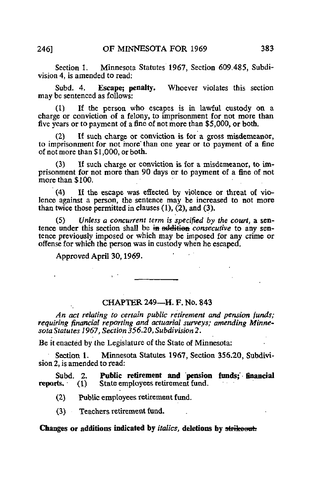Section 1. Minnesota Statutes 1967, Section 609.485, Subdivision 4, is amended to read:

Subd. 4. Escape: penalty. Whoever violates this section may be sentenced as follows:

(1) If the person who escapes is in lawful custody on a charge or conviction of a felony, to imprisonment for not more than five years or to payment of a fine of not more than \$5,000, or both.

(2) If such charge or conviction is for a gross misdemeanor, to imprisonment for not more' than one year or to payment of a fine of not more than  $$1,000$ , or both.

(3) If such charge or conviction is for a misdemeanor, to imprisonment for not more than 90 days or to payment of a fine of not more than \$100.

(4) If the escape was effected by violence or threat of violence against a person, the sentence may be increased to not more than twice those permitted in clauses  $(1)$ ,  $(2)$ , and  $(3)$ .

(5) Unless a concurrent term is specified by the court, a sentence under this section shall be in addition *consecutive* to any sentence previously imposed or which may be imposed for any crime or offense for which the person was in custody when he escaped.

Approved April 30,1969.

 $\mathcal{L}^{\text{max}}$ 

## CHAPTER 249—H. F. No. 843

An act relating to certain public retirement and pension funds; requiring financial reporting and actuarial surveys; amending Minnesota Statutes 1967, Section 356.20, Subdivision^.

Be it enacted by the Legislature of the State of Minnesota:

Section 1. Minnesota Statutes 1967, Section 356.20, Subdivision 2, is amended to read:

Subd. 2. **Public retirement and pension funds; financial reports.** (1) State employees retirement fund.  $r(1)$  State employees retirement fund.

(2) Public employees retirement fund.

(3) Teachers retirement fund.

## Changes or additions indicated by *italics*, deletions by strikesut.